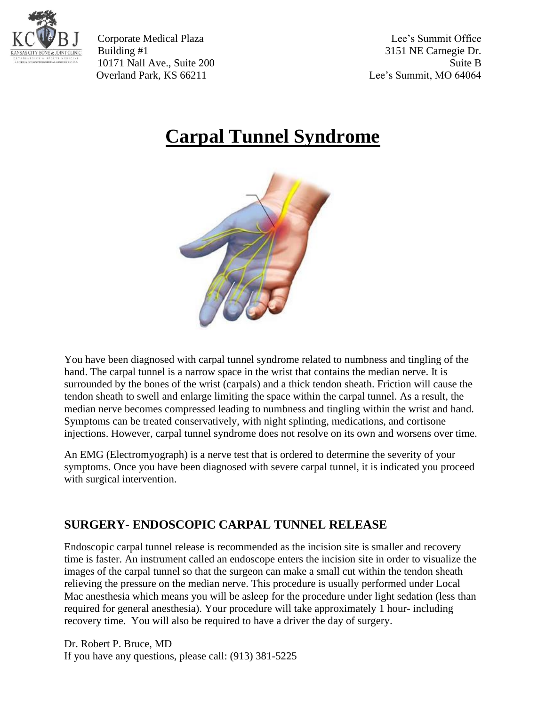

Corporate Medical Plaza Lee's Summit Office Building #1 3151 NE Carnegie Dr. 10171 Nall Ave., Suite 200 Suite B Overland Park, KS 66211 Lee's Summit, MO 64064

## **Carpal Tunnel Syndrome**



You have been diagnosed with carpal tunnel syndrome related to numbness and tingling of the hand. The carpal tunnel is a narrow space in the wrist that contains the median nerve. It is surrounded by the bones of the wrist (carpals) and a thick tendon sheath. Friction will cause the tendon sheath to swell and enlarge limiting the space within the carpal tunnel. As a result, the median nerve becomes compressed leading to numbness and tingling within the wrist and hand. Symptoms can be treated conservatively, with night splinting, medications, and cortisone injections. However, carpal tunnel syndrome does not resolve on its own and worsens over time.

An EMG (Electromyograph) is a nerve test that is ordered to determine the severity of your symptoms. Once you have been diagnosed with severe carpal tunnel, it is indicated you proceed with surgical intervention.

## **SURGERY- ENDOSCOPIC CARPAL TUNNEL RELEASE**

Endoscopic carpal tunnel release is recommended as the incision site is smaller and recovery time is faster. An instrument called an endoscope enters the incision site in order to visualize the images of the carpal tunnel so that the surgeon can make a small cut within the tendon sheath relieving the pressure on the median nerve. This procedure is usually performed under Local Mac anesthesia which means you will be asleep for the procedure under light sedation (less than required for general anesthesia). Your procedure will take approximately 1 hour- including recovery time. You will also be required to have a driver the day of surgery.

Dr. Robert P. Bruce, MD If you have any questions, please call: (913) 381-5225